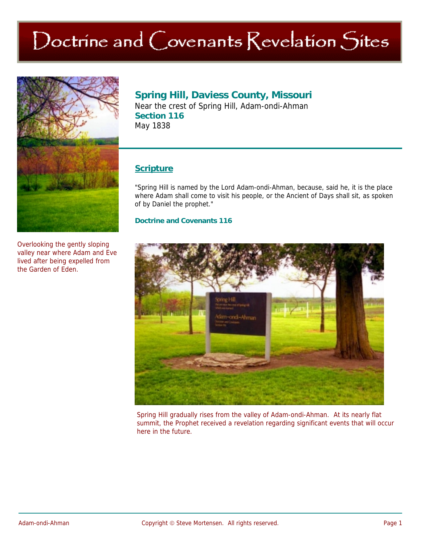# Doctrine and Covenants Revelation Sites



Overlooking the gently sloping valley near where Adam and Eve lived after being expelled from the Garden of Eden.

## **Spring Hill, Daviess County, Missouri**

Near the crest of Spring Hill, Adam-ondi-Ahman **Section 116**  May 1838

## **Scripture**

"Spring Hill is named by the Lord Adam-ondi-Ahman, because, said he, it is the place where Adam shall come to visit his people, or the Ancient of Days shall sit, as spoken of by Daniel the prophet."

#### **Doctrine and Covenants 116**



Spring Hill gradually rises from the valley of Adam-ondi-Ahman. At its nearly flat summit, the Prophet received a revelation regarding significant events that will occur here in the future.